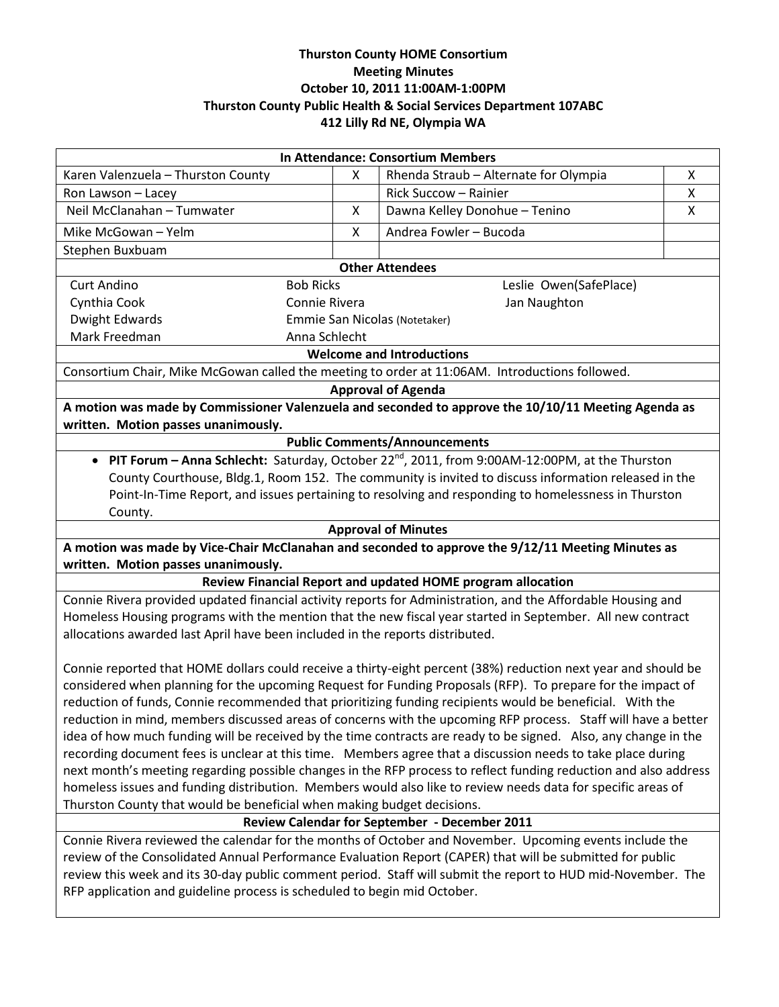# **Thurston County HOME Consortium Meeting Minutes October 10, 2011 11:00AM-1:00PM Thurston County Public Health & Social Services Department 107ABC 412 Lilly Rd NE, Olympia WA**

| In Attendance: Consortium Members                                                                                                        |                                            |                                                                                                           |   |  |
|------------------------------------------------------------------------------------------------------------------------------------------|--------------------------------------------|-----------------------------------------------------------------------------------------------------------|---|--|
| Karen Valenzuela - Thurston County                                                                                                       | X                                          | Rhenda Straub - Alternate for Olympia                                                                     | X |  |
| Ron Lawson - Lacey                                                                                                                       |                                            | Rick Succow - Rainier                                                                                     | Χ |  |
| Neil McClanahan - Tumwater                                                                                                               | Χ                                          | Dawna Kelley Donohue - Tenino                                                                             | X |  |
| Mike McGowan - Yelm                                                                                                                      | X                                          | Andrea Fowler - Bucoda                                                                                    |   |  |
| Stephen Buxbuam                                                                                                                          |                                            |                                                                                                           |   |  |
| <b>Other Attendees</b>                                                                                                                   |                                            |                                                                                                           |   |  |
| <b>Curt Andino</b>                                                                                                                       | <b>Bob Ricks</b><br>Leslie Owen(SafePlace) |                                                                                                           |   |  |
| Cynthia Cook                                                                                                                             | Connie Rivera                              | Jan Naughton                                                                                              |   |  |
| <b>Dwight Edwards</b>                                                                                                                    |                                            | Emmie San Nicolas (Notetaker)                                                                             |   |  |
| Mark Freedman<br>Anna Schlecht                                                                                                           |                                            |                                                                                                           |   |  |
| <b>Welcome and Introductions</b>                                                                                                         |                                            |                                                                                                           |   |  |
| Consortium Chair, Mike McGowan called the meeting to order at 11:06AM. Introductions followed.                                           |                                            |                                                                                                           |   |  |
| <b>Approval of Agenda</b>                                                                                                                |                                            |                                                                                                           |   |  |
| A motion was made by Commissioner Valenzuela and seconded to approve the 10/10/11 Meeting Agenda as                                      |                                            |                                                                                                           |   |  |
| written. Motion passes unanimously.                                                                                                      |                                            |                                                                                                           |   |  |
| <b>Public Comments/Announcements</b>                                                                                                     |                                            |                                                                                                           |   |  |
| • PIT Forum - Anna Schlecht: Saturday, October 22 <sup>nd</sup> , 2011, from 9:00AM-12:00PM, at the Thurston                             |                                            |                                                                                                           |   |  |
| County Courthouse, Bldg.1, Room 152. The community is invited to discuss information released in the                                     |                                            |                                                                                                           |   |  |
| Point-In-Time Report, and issues pertaining to resolving and responding to homelessness in Thurston                                      |                                            |                                                                                                           |   |  |
| County.                                                                                                                                  |                                            |                                                                                                           |   |  |
| <b>Approval of Minutes</b>                                                                                                               |                                            |                                                                                                           |   |  |
| A motion was made by Vice-Chair McClanahan and seconded to approve the 9/12/11 Meeting Minutes as<br>written. Motion passes unanimously. |                                            |                                                                                                           |   |  |
| Review Financial Report and updated HOME program allocation                                                                              |                                            |                                                                                                           |   |  |
| Connie Rivera provided updated financial activity reports for Administration, and the Affordable Housing and                             |                                            |                                                                                                           |   |  |
| Homeless Housing programs with the mention that the new fiscal year started in September. All new contract                               |                                            |                                                                                                           |   |  |
| allocations awarded last April have been included in the reports distributed.                                                            |                                            |                                                                                                           |   |  |
|                                                                                                                                          |                                            |                                                                                                           |   |  |
| Connie reported that HOME dollars could receive a thirty-eight percent (38%) reduction next year and should be                           |                                            |                                                                                                           |   |  |
| considered when planning for the upcoming Request for Funding Proposals (RFP). To prepare for the impact of                              |                                            |                                                                                                           |   |  |
| reduction of funds, Connie recommended that prioritizing funding recipients would be beneficial. With the                                |                                            |                                                                                                           |   |  |
| reduction in mind, members discussed areas of concerns with the upcoming RFP process. Staff will have a better                           |                                            |                                                                                                           |   |  |
| idea of how much funding will be received by the time contracts are ready to be signed. Also, any change in the                          |                                            |                                                                                                           |   |  |
| recording document fees is unclear at this time. Members agree that a discussion needs to take place during                              |                                            |                                                                                                           |   |  |
| next month's meeting regarding possible changes in the RFP process to reflect funding reduction and also address                         |                                            |                                                                                                           |   |  |
| homeless issues and funding distribution. Members would also like to review needs data for specific areas of                             |                                            |                                                                                                           |   |  |
| Thurston County that would be beneficial when making budget decisions.                                                                   |                                            |                                                                                                           |   |  |
| Review Calendar for September - December 2011                                                                                            |                                            |                                                                                                           |   |  |
| Connie Rivera reviewed the calendar for the months of October and November. Upcoming events include the                                  |                                            |                                                                                                           |   |  |
|                                                                                                                                          |                                            | review of the Consolidated Annual Performance Evaluation Report (CAPER) that will be submitted for public |   |  |

review this week and its 30-day public comment period. Staff will submit the report to HUD mid-November. The RFP application and guideline process is scheduled to begin mid October.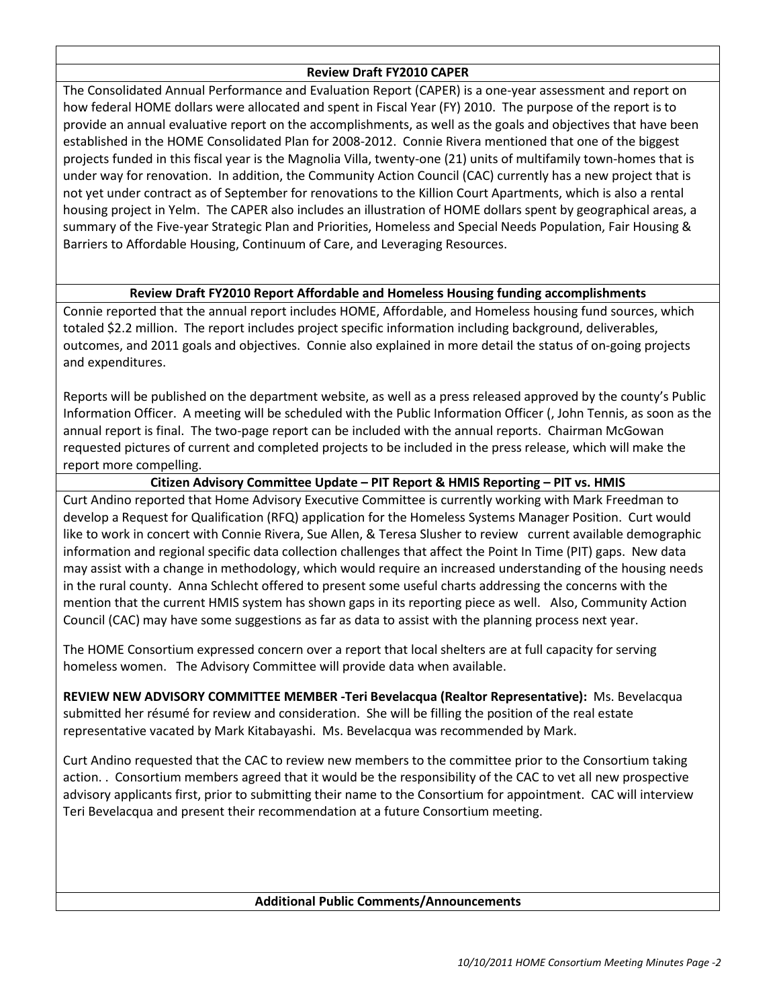## **Review Draft FY2010 CAPER**

The Consolidated Annual Performance and Evaluation Report (CAPER) is a one-year assessment and report on how federal HOME dollars were allocated and spent in Fiscal Year (FY) 2010. The purpose of the report is to provide an annual evaluative report on the accomplishments, as well as the goals and objectives that have been established in the HOME Consolidated Plan for 2008-2012. Connie Rivera mentioned that one of the biggest projects funded in this fiscal year is the Magnolia Villa, twenty-one (21) units of multifamily town-homes that is under way for renovation. In addition, the Community Action Council (CAC) currently has a new project that is not yet under contract as of September for renovations to the Killion Court Apartments, which is also a rental housing project in Yelm. The CAPER also includes an illustration of HOME dollars spent by geographical areas, a summary of the Five-year Strategic Plan and Priorities, Homeless and Special Needs Population, Fair Housing & Barriers to Affordable Housing, Continuum of Care, and Leveraging Resources.

## **Review Draft FY2010 Report Affordable and Homeless Housing funding accomplishments**

Connie reported that the annual report includes HOME, Affordable, and Homeless housing fund sources, which totaled \$2.2 million. The report includes project specific information including background, deliverables, outcomes, and 2011 goals and objectives. Connie also explained in more detail the status of on-going projects and expenditures.

Reports will be published on the department website, as well as a press released approved by the county's Public Information Officer. A meeting will be scheduled with the Public Information Officer (, John Tennis, as soon as the annual report is final. The two-page report can be included with the annual reports. Chairman McGowan requested pictures of current and completed projects to be included in the press release, which will make the report more compelling.

## **Citizen Advisory Committee Update – PIT Report & HMIS Reporting – PIT vs. HMIS**

Curt Andino reported that Home Advisory Executive Committee is currently working with Mark Freedman to develop a Request for Qualification (RFQ) application for the Homeless Systems Manager Position. Curt would like to work in concert with Connie Rivera, Sue Allen, & Teresa Slusher to review current available demographic information and regional specific data collection challenges that affect the Point In Time (PIT) gaps. New data may assist with a change in methodology, which would require an increased understanding of the housing needs in the rural county. Anna Schlecht offered to present some useful charts addressing the concerns with the mention that the current HMIS system has shown gaps in its reporting piece as well. Also, Community Action Council (CAC) may have some suggestions as far as data to assist with the planning process next year.

The HOME Consortium expressed concern over a report that local shelters are at full capacity for serving homeless women. The Advisory Committee will provide data when available.

**REVIEW NEW ADVISORY COMMITTEE MEMBER -Teri Bevelacqua (Realtor Representative):** Ms. Bevelacqua submitted her résumé for review and consideration. She will be filling the position of the real estate representative vacated by Mark Kitabayashi. Ms. Bevelacqua was recommended by Mark.

Curt Andino requested that the CAC to review new members to the committee prior to the Consortium taking action. . Consortium members agreed that it would be the responsibility of the CAC to vet all new prospective advisory applicants first, prior to submitting their name to the Consortium for appointment. CAC will interview Teri Bevelacqua and present their recommendation at a future Consortium meeting.

### **Additional Public Comments/Announcements**